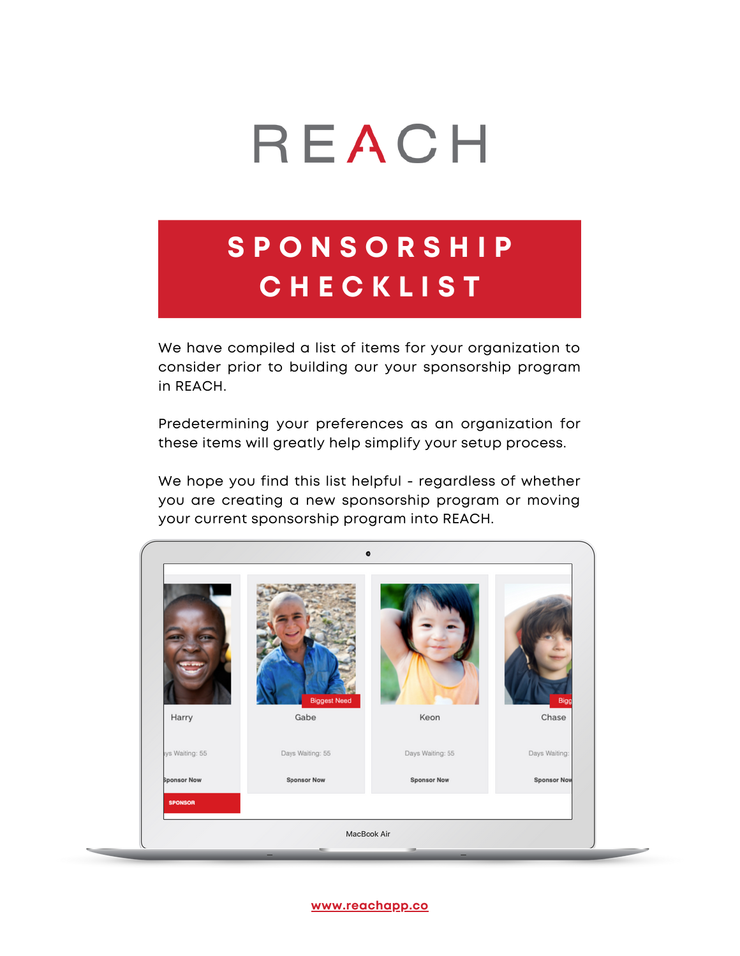

# **S P O N S O R S H I P C H E C K L I S T**

We have compiled a list of items for your organization to consider prior to building our your sponsorship program in REACH.

Predetermining your preferences as an organization for these items will greatly help simplify your setup process.

We hope you find this list helpful - regardless of whether you are creating a new sponsorship program or moving your current sponsorship program into REACH.

| Harry              | <b>Biggest Need</b><br>Gabe | Keon               | Bigg<br>Chase      |
|--------------------|-----------------------------|--------------------|--------------------|
| lys Waiting: 55    | Days Waiting: 55            | Days Waiting: 55   | Days Waiting:      |
| <b>Sponsor Now</b> | <b>Sponsor Now</b>          | <b>Sponsor Now</b> | <b>Sponsor Nov</b> |
| <b>SPONSOR</b>     |                             |                    |                    |

**[www.reachapp.co](http://www.reachapp.co/)**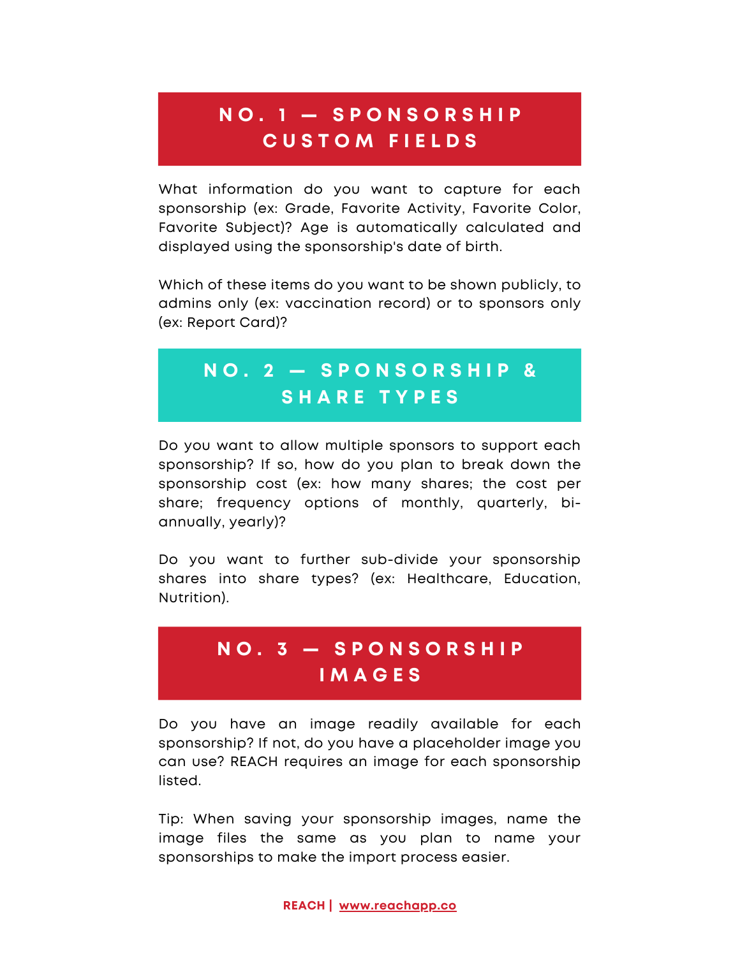#### **N O . 1 — S P O N S O R S H I P C U S T O M F I E L D S**

What information do you want to capture for each sponsorship (ex: Grade, Favorite Activity, Favorite Color, Favorite Subject)? Age is automatically calculated and displayed using the sponsorship's date of birth.

Which of these items do you want to be shown publicly, to admins only (ex: vaccination record) or to sponsors only (ex: Report Card)?

#### **N O . 2 — S P O N S O R S H I P & S H A R E T Y P E S**

Do you want to allow multiple sponsors to support each sponsorship? If so, how do you plan to break down the sponsorship cost (ex: how many shares; the cost per share; frequency options of monthly, quarterly, biannually, yearly)?

Do you want to further sub-divide your sponsorship shares into share types? (ex: Healthcare, Education, Nutrition).

#### **N O . 3 — S P O N S O R S H I P I M A G E S**

Do you have an image readily available for each sponsorship? If not, do you have a placeholder image you can use? REACH requires an image for each sponsorship listed.

Tip: When saving your sponsorship images, name the image files the same as you plan to name your sponsorships to make the import process easier.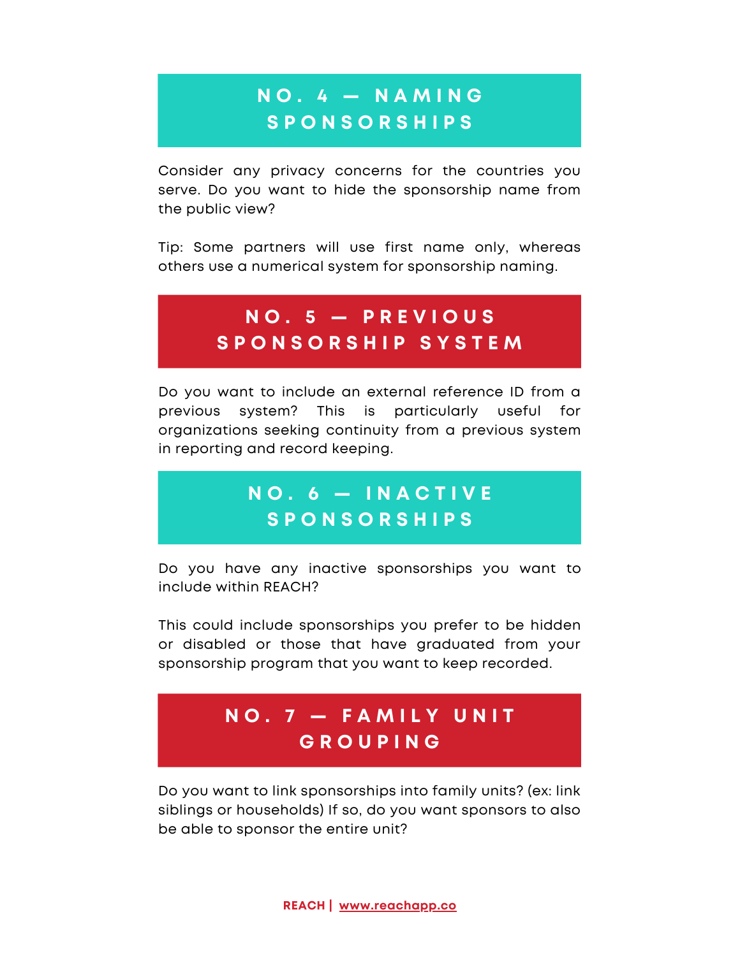#### **N O . 4 — N A M I N G S P O N S O R S H I P S**

Consider any privacy concerns for the countries you serve. Do you want to hide the sponsorship name from the public view?

Tip: Some partners will use first name only, whereas others use a numerical system for sponsorship naming.

#### **N O . 5 — P R E V I O U S S P O N S O R S H I P S Y S T E M**

Do you want to include an external reference ID from a previous system? This is particularly useful for organizations seeking continuity from a previous system in reporting and record keeping.

#### **N O . 6 — I N A C T I V E S P O N S O R S H I P S**

Do you have any inactive sponsorships you want to include within REACH?

This could include sponsorships you prefer to be hidden or disabled or those that have graduated from your sponsorship program that you want to keep recorded.

#### **N O . 7 — F A M I L Y U N I T G R O U P I N G**

Do you want to link sponsorships into family units? (ex: link siblings or households) If so, do you want sponsors to also be able to sponsor the entire unit?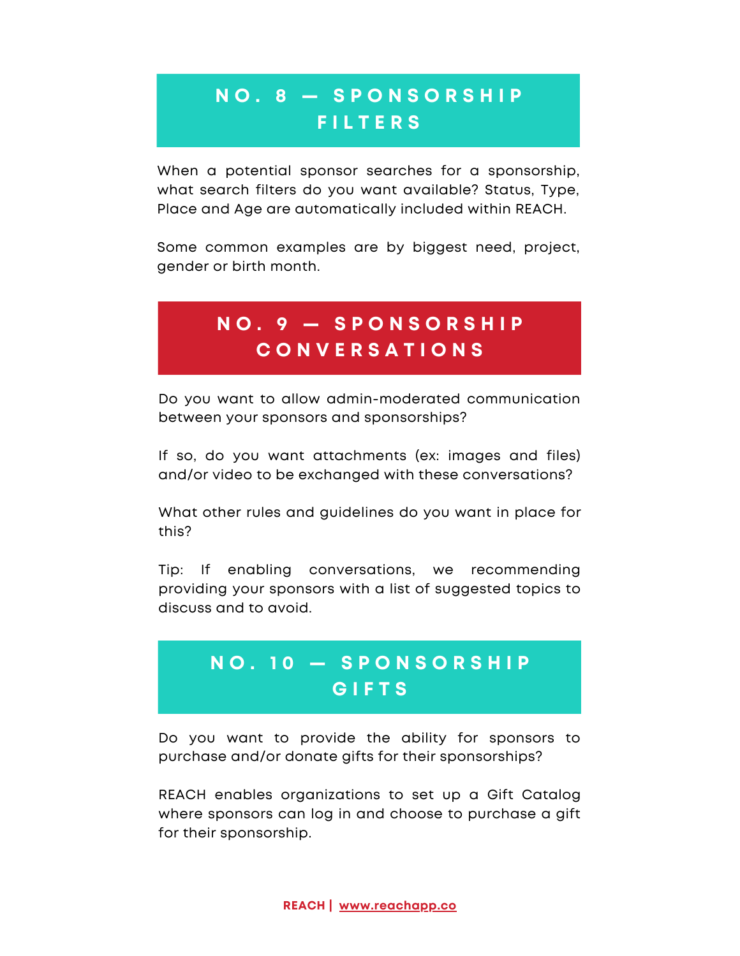#### **N O . 8 — S P O N S O R S H I P F I L T E R S**

When a potential sponsor searches for a sponsorship. what search filters do you want available? Status, Type, Place and Age are automatically included within REACH.

Some common examples are by biggest need, project, gender or birth month.

#### **N O . 9 — S P O N S O R S H I P C O N V E R S A T I O N S**

Do you want to allow admin-moderated communication between your sponsors and sponsorships?

If so, do you want attachments (ex: images and files) and/or video to be exchanged with these conversations?

What other rules and guidelines do you want in place for this?

Tip: If enabling conversations, we recommending providing your sponsors with a list of suggested topics to discuss and to avoid.

#### **N O . 1 0 — S P O N S O R S H I P G I F T S**

Do you want to provide the ability for sponsors to purchase and/or donate gifts for their sponsorships?

REACH enables organizations to set up a Gift Catalog where sponsors can log in and choose to purchase a gift for their sponsorship.